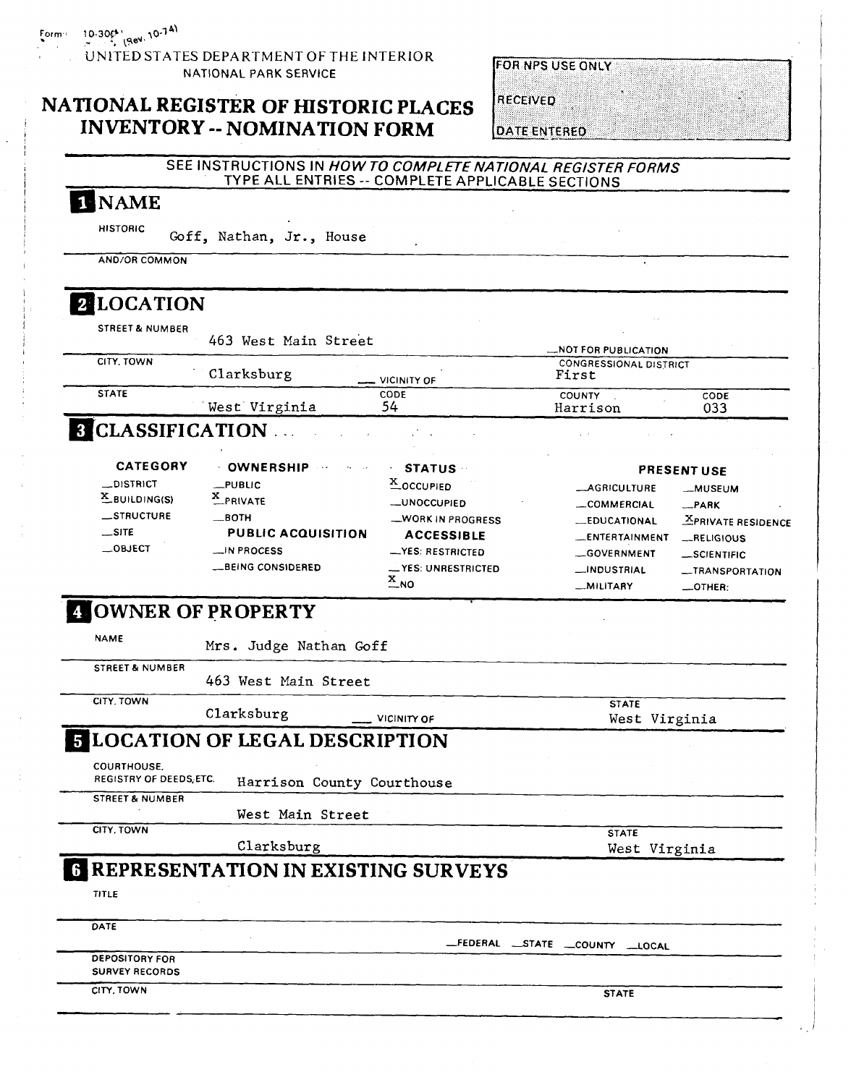#### **UNlTED** STATES DEPARTMENT OF THE INTERIOR NATIONAL **PARK** SERVICE

# **NATIONAL REGISTER OF HISTORIC PLACES**  <sup>I</sup>**INVENTORY** -- **NOMINATION FORM**

### **FOR NPS USE ONLY**

**RECEIVED** 

**DATE ENTERED** 

| 1 NAME                                         |                                                         |                                                    |                                                      |                                 |
|------------------------------------------------|---------------------------------------------------------|----------------------------------------------------|------------------------------------------------------|---------------------------------|
| <b>HISTORIC</b>                                |                                                         |                                                    |                                                      |                                 |
|                                                | Goff, Nathan, Jr., House                                |                                                    |                                                      |                                 |
| <b>AND/OR COMMON</b>                           |                                                         |                                                    |                                                      |                                 |
| 2 LOCATION                                     |                                                         |                                                    |                                                      |                                 |
| <b>STREET &amp; NUMBER</b>                     |                                                         |                                                    |                                                      |                                 |
|                                                | 463 West Main Street                                    |                                                    |                                                      |                                 |
| CITY, TOWN                                     |                                                         |                                                    | NOT FOR PUBLICATION<br><b>CONGRESSIONAL DISTRICT</b> |                                 |
|                                                | Clarksburg                                              | <b>VICINITY OF</b>                                 | First                                                |                                 |
| <b>STATE</b>                                   |                                                         | CODE                                               | COUNTY                                               | CODE                            |
|                                                | West Virginia                                           | 54                                                 | Harrison                                             | 033                             |
| <b>8 CLASSIFICATION </b>                       |                                                         |                                                    |                                                      |                                 |
| <b>CATEGORY</b>                                | <b>OWNERSHIP</b>                                        | <b>STATUS</b>                                      |                                                      |                                 |
| _DISTRICT                                      | $_{\rm \_PUBUC}$                                        | X_OCCUPIED                                         |                                                      | <b>PRESENT USE</b>              |
| $X$ BUILDING(S)                                | X_PRIVATE                                               | <b>_UNOCCUPIED</b>                                 | <b>__AGRICULTURE</b>                                 | -MUSEUM                         |
| __STRUCTURE                                    | __ ВОТН                                                 | _WORK IN PROGRESS                                  | <b>__COMMERCIAL</b>                                  | -PARK                           |
| $\equiv$ SITE                                  | <b>PUBLIC ACQUISITION</b>                               | <b>ACCESSIBLE</b>                                  | <b>_EDUCATIONAL</b>                                  | <b>XPRIVATE RESIDENCE</b>       |
| $\_$ OBJECT                                    | N PROCESS                                               | -YES: RESTRICTED                                   | <b>LENTERTAINMENT</b>                                | _RELIGIOUS                      |
|                                                |                                                         |                                                    | __GOVERNMENT                                         | _SCIENTIFIC                     |
|                                                |                                                         |                                                    |                                                      |                                 |
|                                                | <b>__BEING CONSIDERED</b><br><b>4 OWNER OF PROPERTY</b> | - YES: UNRESTRICTED<br>$\frac{\text{x}}{\text{N}}$ | __INDUSTRIAL<br><b>MILITARY</b>                      | __TRANSPORTATION<br>$\_$ OTHER: |
| <b>NAME</b>                                    | Mrs. Judge Nathan Goff                                  |                                                    |                                                      |                                 |
| <b>STREET &amp; NUMBER</b>                     | 463 West Main Street                                    |                                                    |                                                      |                                 |
| CITY, TOWN                                     |                                                         |                                                    |                                                      |                                 |
|                                                | Clarksburg                                              | VICINITY OF                                        | <b>STATE</b>                                         |                                 |
|                                                | <b>LOCATION OF LEGAL DESCRIPTION</b>                    |                                                    | West Virginia                                        |                                 |
|                                                |                                                         |                                                    |                                                      |                                 |
| COURTHOUSE.<br>REGISTRY OF DEEDS, ETC.         | Harrison County Courthouse                              |                                                    |                                                      |                                 |
| <b>STREET &amp; NUMBER</b>                     |                                                         |                                                    |                                                      |                                 |
| CITY, TOWN                                     | West Main Street                                        |                                                    |                                                      |                                 |
|                                                | Clarksburg                                              |                                                    | <b>STATE</b>                                         |                                 |
|                                                |                                                         |                                                    | West Virginia                                        |                                 |
|                                                | <b>6 REPRESENTATION IN EXISTING SURVEYS</b>             |                                                    |                                                      |                                 |
| <b>TITLE</b>                                   |                                                         |                                                    |                                                      |                                 |
| DATE                                           |                                                         |                                                    |                                                      |                                 |
|                                                |                                                         |                                                    | _FEDERAL _STATE _COUNTY _LOCAL                       |                                 |
| <b>DEPOSITORY FOR</b><br><b>SURVEY RECORDS</b> |                                                         |                                                    |                                                      |                                 |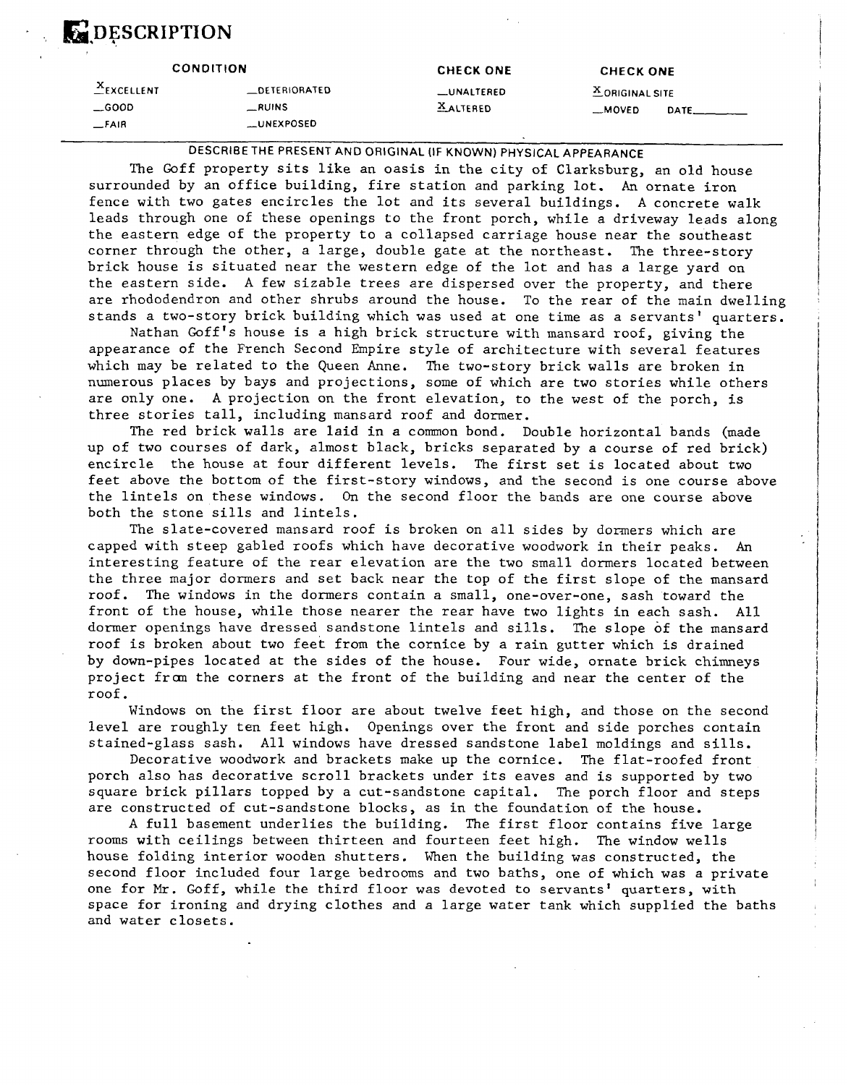# **E-DESCRIPTION**

|               | <b>CONDITION</b>     | <b>CHECK ONE</b> | <b>CHECK ONE</b>  |      |
|---------------|----------------------|------------------|-------------------|------|
| $X$ EXCELLENT | <b>LOETERIORATED</b> | __UNALTERED      | $X$ ORIGINAL SITE |      |
| $\equiv$ GOOD | $\_RUINS$            | <b>XALTERED</b>  | $-MOVED$          | DATE |
| _FAIR         | <b>LLUNEXPOSED</b>   |                  |                   |      |

#### **DESCRIBE THE PRESENT AND ORIGINAL (IF KNOWN) PHYSICAL APPEARANCE**

The Goff property sits like an oasis in the city of Clarksburg, an old house surrounded by an office building, fire station and parking lot. An ornate iron fence with two gates encircles the lot and its several buildings. A concrete walk leads through one of these openings to the front porch, while a driveway leads along the eastern edge of the property to a collapsed carriage house near the southeast corner through the other, a large, double gate at the northeast. The three-story brick house is situated near the western edge of the lot and has a large yard on the eastern side. A few sizable trees are dispersed over the property, and there are rhododendron and other shrubs around the house. To the rear of the main dwelling stands a two-story brick building which was used at one time as a servants' quarters.

Nathan Goff's house is a high brick structure with mansard roof, giving the appearance of the French Second Empire style of architecture with several features which may be related to the Queen Anne. The two-story brick walls are broken in numerous places by bays and projections, some of which are two stories while others are only one. A projection on the front elevation, to the west of the porch, is three stories tall, including mansard roof and dormer.

The red brick walls are laid in a common bond. Double horizontal bands (made up of two courses of dark, almost black, bricks separated by a course of red brick) encircle the house at four different levels. The first set is located about two feet above the bottom of the first-story windows, and the second is one course above the lintels on these windows. On the second floor the bands are one course above both the stone sills and lintels.

The slate-covered mansard roof is broken on all sides by dormers which are capped with steep gabled roofs which have decorative woodwork in their peaks. **An**  interesting feature of the rear elevation are the two small dormers located between the three major dormers and set back near the top of the first slope of the mansard roof. The windows in the dormers contain a small, one-over-one, sash toward the front of the house, while those nearer the rear have two lights in each sash. All dormer openings have dressed sandstone lintels and sills. The slope of the mansard roof is broken about two feet from the cornice by a rain gutter which is drained by down-pipes located at the sides of the house. Four wide, ornate brick chimneys project from the corners at the front of the building and near the center of the roof.

Windows on the first floor are about twelve feet high, and those on the second level are roughly ten feet high. Openings over the front and side porches contain stained-glass sash. All windows have dressed sandstone label moldings and sills.

Decorative woodwork and brackets make up the cornice. The flat-roofed front porch also has decorative scroll brackets under its eaves and is supported by two square brick pillars topped by a cut-sandstone capital. The porch floor and steps are constructed of cut-sandstone blocks, as in the foundation of the house.

A full basement underlies the building. The first floor contains five large rooms with ceilings between thirteen and fourteen feet high. The window wells house folding interior wooden shutters. When the building was constructed, the second floor included four large bedrooms and two baths, one of which was a private one for *Mr.* Goff, while the third floor was devoted to servants' quarters, with space for ironing and drying clothes and a large water tank which supplied the baths and water closets.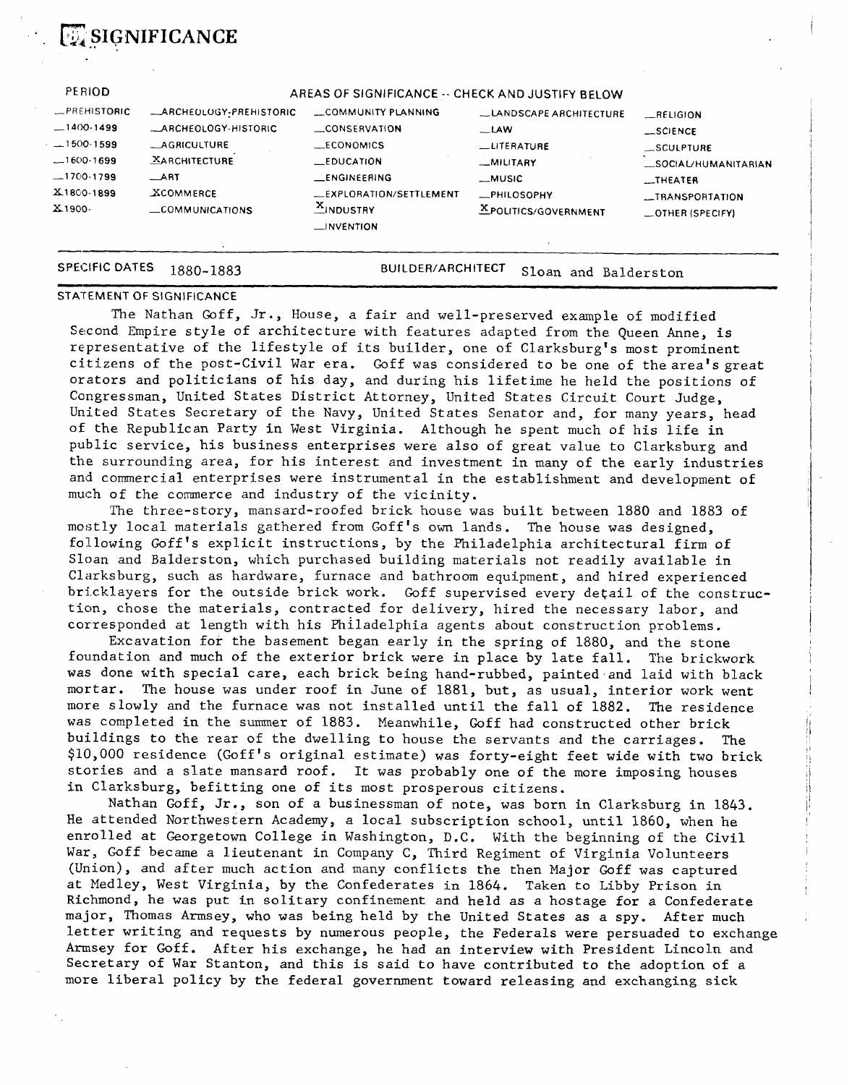

 $E$ **SIGNIFICANCE** 

1880-1883 **BUILDER/ARCHITECT** Sloan and Balderston

#### **STATEMENT OF SIGNIFICANCE**

The Nathan Goff, Jr., House, a fair and well-preserved example of modified Second Empire style of architecture with features adapted from the Queen Anne, is representative of the lifestyle of its builder, one of Clarksburg's most prominent citizens of the post-Civil War era. Goff was considered to be one of the area's great orators and politicians of his day, and during his lifetime he held the positions of Congressman, United States District Attorney, United States Circuit Court Judge, United States Secretary of the Navy, United States Senator and, for many years, head of the Republican Party in West Virginia. Although he spent much of his life in public service, his business enterprises were also of great value to Clarksburg and the surrounding area, for his interest and investment in many of the early industries and commercial enterprises were instrumental in the establishment and development of much of the commerce and industry of the vicinity.

The three-story, mansard-roofed brick house was built between 1880 and 1883 of mostly local materials gathered from Goff's own lands. The house was designed, following Goff's explicit instructions, by the Philadelphia architectural firm of Sloan and Balderston, which purchased building materials not readily available in Clarksburg, such as hardware, furnace and bathroom equipment, and hired experienced bricklayers for the outside brick work. Goff supervised every detail of the construction, chose the materials, contracted for delivery, hired the necessary labor, and corresponded at length with his Philadelphia agents about construction problems.

Excavation for the basement began early in the spring of 1880, and the stone foundation and much of the exterior brick were in place by late fall. The brickwork was done with special care, each brick being hand-rubbed, painted and laid with black mortar. The house was under roof in June of 1881, but, as usual, interior work went more slowly and the furnace was not installed until the fall of 1882. The residence was completed in the summer of 1883. Meanwhile, Goff had constructed other brick buildings to the rear of the dwelling to house the servants and the carriages. The \$10,000 residence (Goff's original estimate) was forty-eight feet wide with two brick stories and a slate mansard roof. It was probably one of the more imposing houses in Clarksburg, befitting one of its most prosperous citizens.

Nathan Goff, Jr., son of a businessman of note, was born in Clarksburg in 1843. He attended Northwestern Academy, a local subscription school, until 1860, when he enrolled at Georgetown College in Washington, D.C. With the beginning of the Civil War, Goff became a lieutenant in Company C, Third Regiment of Virginia Volunteers (Union), and after much action and many conflicts the then Major Goff was captured at Medley, West Virginia, by the Confederates in 1864. Taken to Libby Prison in Richmond, he was put in solitary confinement and held as a hostage for a Confederate major, Thomas Armsey, who was being held by the United States as a spy. After much letter writing and requests by numerous people, the Federals were persuaded to exchange Armsey for Goff. After his exchange, he had an interview with President Lincoln and Secretary of **War** Stanton, and this is said to have contributed to the adoption of a more liberal policy by the federal government toward releasing and exchanging sick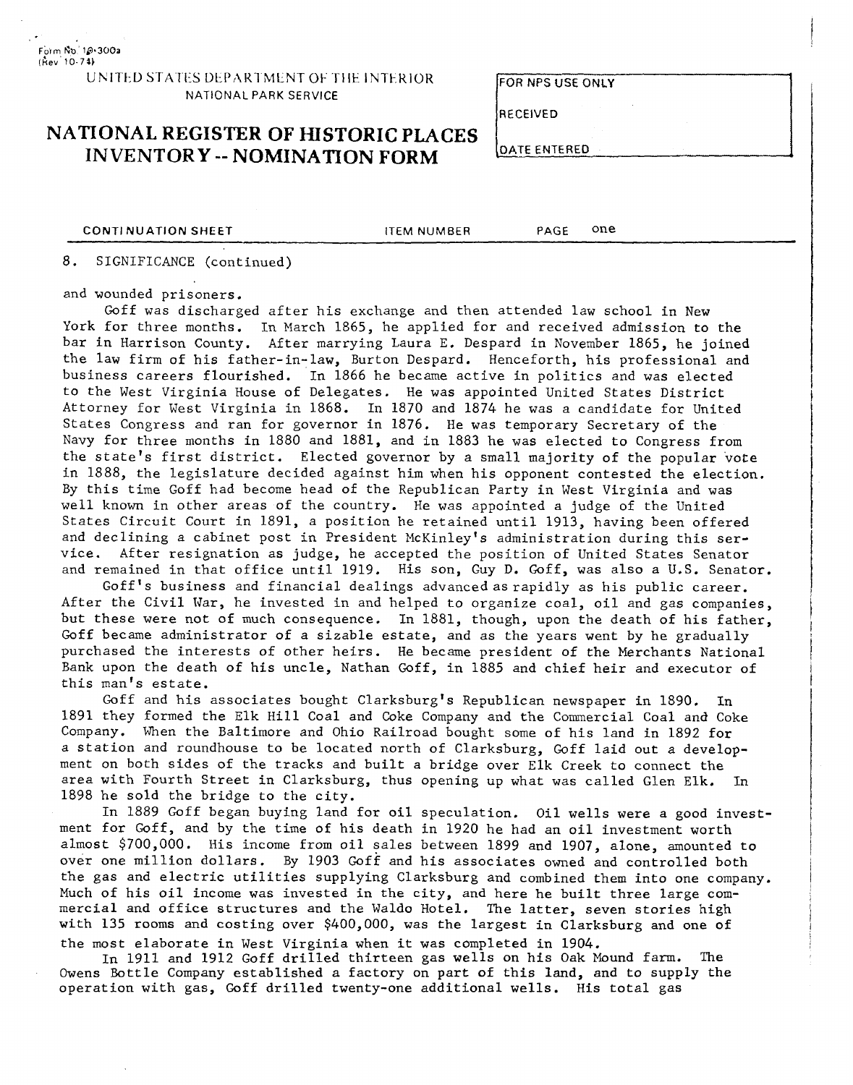#### UNITED STATES DEPARTMENT OF THE INTERIOR **NATIONAL PARK SERVICE**

#### **FOR NPS USE ONLY**

**RECEIVED** 

## **NATIONAL REGISTER OF HISTORIC PLACES INVENTORY** -- **NOMINATION FORM**

| )ATE ENTERED |  |  |
|--------------|--|--|
|              |  |  |

**CONTINUATION SHEET** ITEM NUMBER PAGE ONE

#### 8. SIGNIFICANCE (continued)

and wounded prisoners.

Goff was discharged after his exchange and then attended law school in New York for three months. In March 1865, he applied for and received admission to the bar in Harrison County. After marrying Laura E. Despard in November 1865, he joined the law firm of his father-in-law, Burton Despard. Henceforth, his professional and business careers flourished. In 1866 he became active in politics and was elected to the West Virginia House of Delegates. He was appointed United States District Attorney for West Virginia in 1868. In 1870 and 1874 he was a candidate for United States Congress and ran for governor in 1876. He was temporary Secretary of the Navy for three months in 1880 and 1881, and in 1883 he was elected to Congress from the state's first district. Elected governor by a small majority of the popular 'vote in 1888, the legislature decided against him when his opponent contested the election. By this time Goff had become head of the Republican Party in West Virginia and was well known in other areas of the country. He was appointed a judge of the United States Circuit Court in 1891, a position he retained until 1913, having been offered and declining a cabinet post in President McKinley's administration during this service. After resignation as judge, he accepted the position of United States Senator and remained in that office until 1919. His son, Guy D. Goff, was also a U.S. Senator.

Goff's business and financial dealings advanced as rapidly as his public career. After the Civil War, he invested in and helped to organize coal, oil and gas companies, but these were not of much consequence. In 1881, though, upon the death of his father, Goff became administrator of a sizable estate, and as the years went by he gradually purchased the interests of other heirs. He became president of the Merchants National Bank upon the death of his uncle, Nathan Goff, in 1885 and chief heir and executor of this man's estate.

Goff and his associates bought Clarksburg's Republican newspaper in 1890. In 1891 they formed the Elk Hill Coal and Coke Company and the Commercial Coal and Coke Company. When the Baltimore and Ohio Railroad bought some of his land in 1892 for a station and roundhouse to be located north of Clarksburg, Goff laid out a development on both sides of the tracks and built a bridge over Elk Creek to connect the area with Fourth Street in Clarksburg, thus opening up what was called Glen Elk. In 1898 he sold the bridge to the city.

In 1889 Goff began buying land for oil speculation. Oil wells were a good investment for Goff, and by the time of his death in 1920 he had an oil investment worth almost \$700,000. His income from oil sales between 1899 and 1907, alone, amounted to over one million dollars. By 1903 Goff and his associates owned and controlled both the gas and electric utilities supplying Clarksburg and combined them into one company. Much of his oil income was invested in the city, and here he built three large commercial and office structures and the Waldo Hotel. The latter, seven stories high with 135 rooms and costing over \$400,000, was the largest in Clarksburg and one of the most elaborate in West Virginia when it was completed in 1904.

In 1911 and 1912 Goff drilled thirteen gas wells on his Oak Mound farm. The Owens Bottle Company established a factory on part of this land, and to supply the operation with gas, Goff drilled twenty-one additional wells. His total gas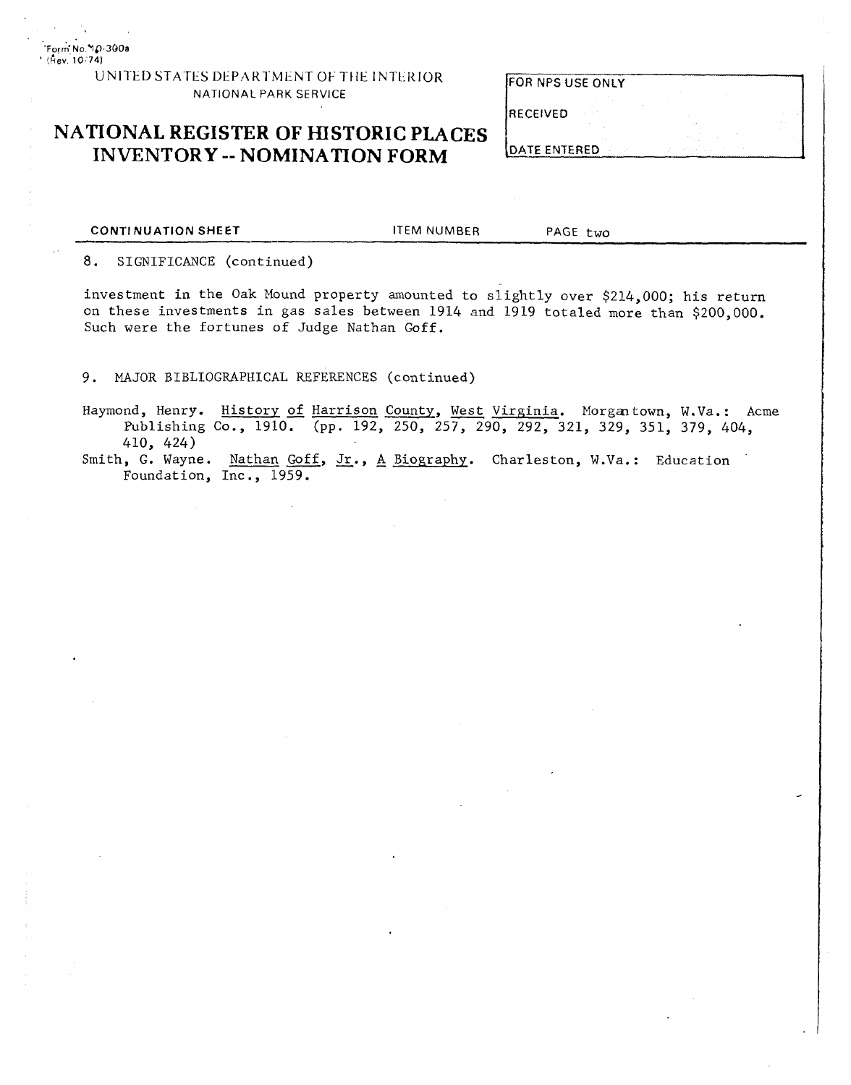**'FO,~ NO YC) 3t)Oa**  ' **!kev** 10 **<sup>741</sup>**

#### UNITED STATES DEPARTMENT OF THE INTERIOR NATIONAL PARK SERVICE

## **NATIONAL REGISTER OF HISTORIC PLACES INVENTORY** -- **NOMINATION FORM**

| FOR NPS USE ONLY |  |  |  |  |
|------------------|--|--|--|--|
|                  |  |  |  |  |

RECEIVED

DATE ENTERED

**CONTINUATION SHEET THE ITEM NUMBER PAGE two** 

8. SIGNIFICANCE (continued)

investment in the Oak Mound property amounted to slightly over \$214,000; his return on these investments in gas sales between 1914 and 1919 totaled more than \$200,000. Such were the fortunes of Judge Nathan Goff.

9. MAJOR BIBLIOGRAPHICAL REFERENCES (continued)

Hapond, Henry. History of Harrison County, West Virginia. Morgantown, **W.Va.:** Acme Publishing Co., 1910. (pp. 192, 250, 257, 290, 292, 321, 329, 351, 379, 404, 410, 424)

Smith, G. Wayne. Nathan Goff, Jr., A Biography. Charleston, W.Va.: Education Foundation, Inc., 1959.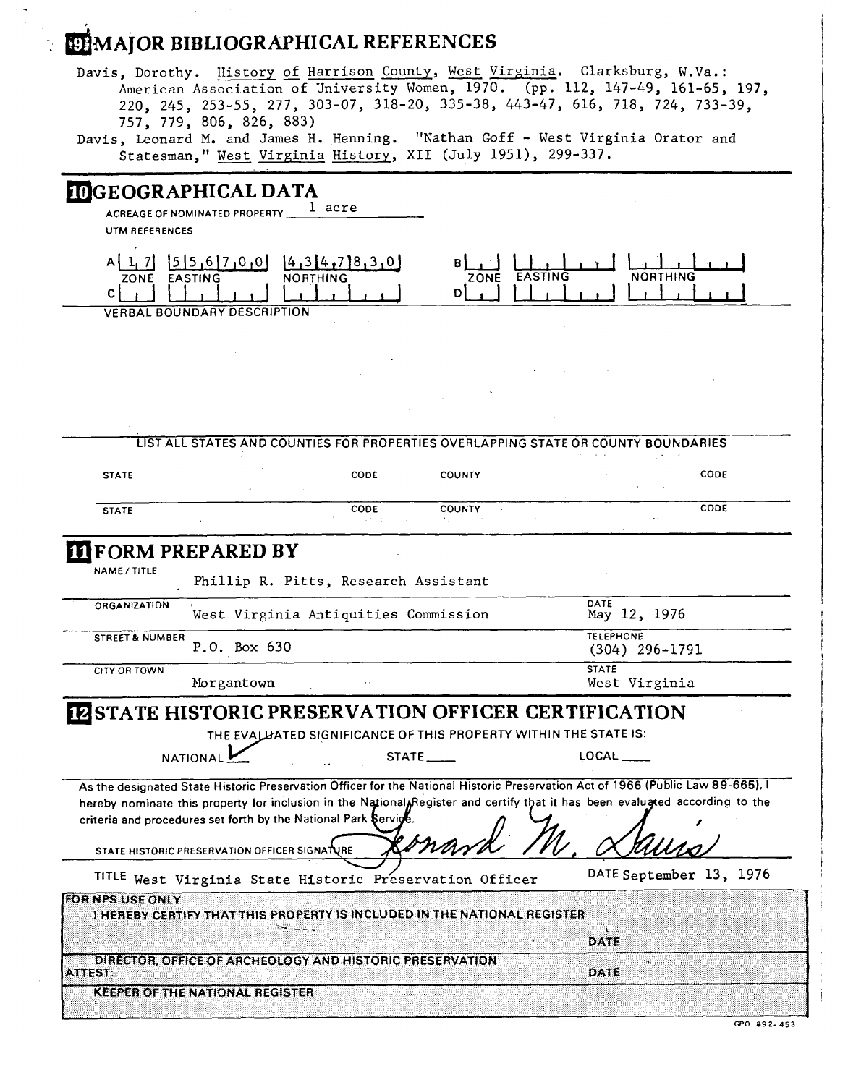# **ETMAJOR BIBLIOGRAPHICAL REFERENCES**

Davis, Dorothy. <u>History of Harrison County</u>, <u>West Virginia</u>. Clarksburg, W.Va.: American Association of University Women, 1970. (pp. 112, 147-49, 161-65, 197, 220, 245, 253-55, 277, 303-07, 318-20, 335-38, 443-47, 616, 718, 724, 733-39, 757, 779, 806, 826, 883)

|                              | 220, 249, 299 99, 211, 909 01, 920 29, 909 00, 110 11, 920, 120, 127,<br>757, 779, 806, 826, 883)<br>Davis, Leonard M. and James H. Henning. "Nathan Goff - West Virginia Orator and<br>Statesman," West Virginia History, XII (July 1951), 299-337.                                                                               |                                                                  |                         |              |                                      |      |
|------------------------------|------------------------------------------------------------------------------------------------------------------------------------------------------------------------------------------------------------------------------------------------------------------------------------------------------------------------------------|------------------------------------------------------------------|-------------------------|--------------|--------------------------------------|------|
| <b>UTM REFERENCES</b>        | <b>IDGEOGRAPHICAL DATA</b><br>ACREAGE OF NOMINATED PROPERTY 1 acre                                                                                                                                                                                                                                                                 |                                                                  |                         |              |                                      |      |
| ZONE EASTING<br>$\mathbf{C}$ | $A[1, 7]$ $[5]5, 6]7, 0, 0$ $[4, 3]4, 7]8, 3, 0$<br><b>VERBAL BOUNDARY DESCRIPTION</b>                                                                                                                                                                                                                                             | <b>NORTHING</b>                                                  | BĮ<br>ZONE EASTING<br>D |              | <b>NORTHING</b>                      |      |
|                              |                                                                                                                                                                                                                                                                                                                                    |                                                                  |                         |              |                                      |      |
|                              | LIST ALL STATES AND COUNTIES FOR PROPERTIES OVERLAPPING STATE OR COUNTY BOUNDARIES                                                                                                                                                                                                                                                 |                                                                  |                         |              |                                      |      |
| <b>STATE</b>                 |                                                                                                                                                                                                                                                                                                                                    | <b>CODE</b>                                                      | <b>COUNTY</b>           |              |                                      | CODE |
| <b>STATE</b>                 |                                                                                                                                                                                                                                                                                                                                    | CODE                                                             | <b>COUNTY</b>           |              |                                      | CODE |
| NAME / TITLE                 | <b>FORM PREPARED BY</b><br>Phillip R. Pitts, Research Assistant                                                                                                                                                                                                                                                                    |                                                                  |                         |              |                                      |      |
| <b>ORGANIZATION</b>          | West Virginia Antiquities Commission                                                                                                                                                                                                                                                                                               |                                                                  |                         | DATE         | May 12, 1976                         |      |
| STREET & NUMBER              | P.O. Box 630                                                                                                                                                                                                                                                                                                                       |                                                                  |                         |              | <b>TELEPHONE</b><br>$(304)$ 296-1791 |      |
| CITY OR TOWN                 | Morgantown                                                                                                                                                                                                                                                                                                                         |                                                                  |                         | <b>STATE</b> | West Virginia                        |      |
|                              | <b>FASTATE HISTORIC PRESERVATION OFFICER CERTIFICATION</b><br><b>NATIONAL</b>                                                                                                                                                                                                                                                      | THE EVALUATED SIGNIFICANCE OF THIS PROPERTY WITHIN THE STATE IS: | STATE <sub>___</sub>    |              | $\mathsf{LOCAL} \_\_$                |      |
|                              | As the designated State Historic Preservation Officer for the National Historic Preservation Act of 1966 (Public Law 89-665), I<br>hereby nominate this property for inclusion in the National Register and certify that it has been evalugted according to the<br>criteria and procedures set forth by the National Park Service. |                                                                  |                         |              |                                      |      |
|                              | STATE HISTORIC PRESERVATION OFFICER SIGNATURE                                                                                                                                                                                                                                                                                      |                                                                  |                         |              | DATE September 13, 1976              |      |
| <b>FOR NPS USE ONLY</b>      | TITLE West Virginia State Historic Preservation Officer<br>I HEREBY CERTIFY THAT THIS PROPERTY IS INCLUDED IN THE NATIONAL REGISTER<br>28.26                                                                                                                                                                                       |                                                                  |                         |              |                                      |      |
| <b>ATTEST:</b>               | DIRECTOR, OFFICE OF ARCHEOLOGY AND HISTORIC PRESERVATION                                                                                                                                                                                                                                                                           |                                                                  |                         | DATE<br>DATE |                                      |      |
|                              | KEEPER OF THE NATIONAL REGISTER                                                                                                                                                                                                                                                                                                    |                                                                  |                         |              |                                      |      |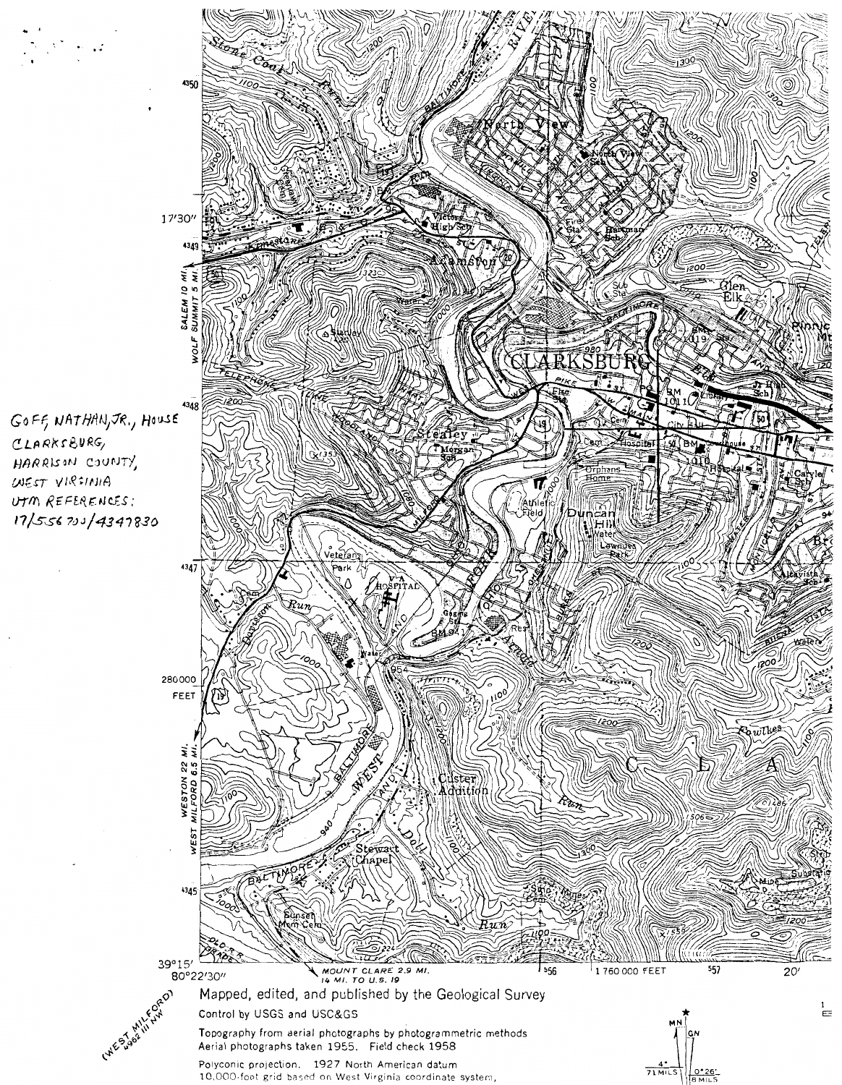